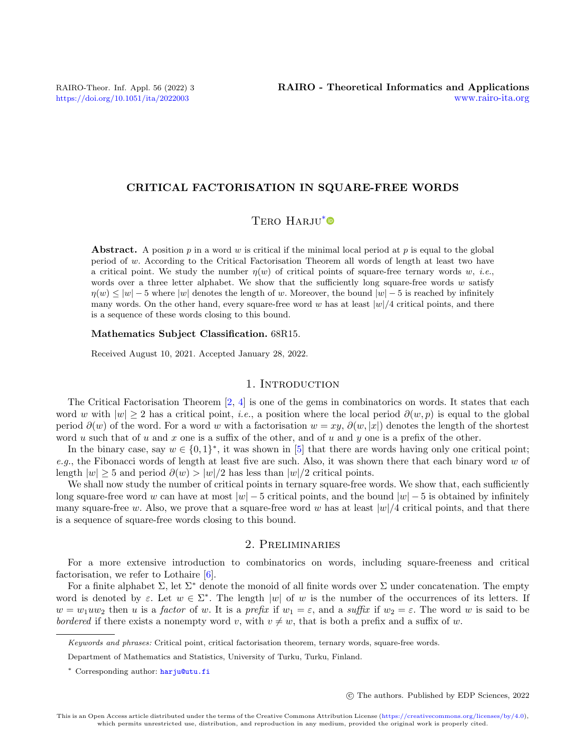## CRITICAL FACTORISATION IN SQUARE-FREE WORDS

## TERO HARJU<sup>[\\*](#page-0-0)</sup>

**Abstract.** A position p in a word w is critical if the minimal local period at p is equal to the global period of  $w$ . According to the Critical Factorisation Theorem all words of length at least two have a critical point. We study the number  $\eta(w)$  of critical points of square-free ternary words w, *i.e.*, words over a three letter alphabet. We show that the sufficiently long square-free words  $w$  satisfy  $\eta(w) \le |w| - 5$  where |w| denotes the length of w. Moreover, the bound  $|w| - 5$  is reached by infinitely many words. On the other hand, every square-free word w has at least  $|w|/4$  critical points, and there is a sequence of these words closing to this bound.

#### Mathematics Subject Classification. 68R15.

Received August 10, 2021. Accepted January 28, 2022.

## 1. INTRODUCTION

The Critical Factorisation Theorem [\[2,](#page-7-0) [4\]](#page-7-1) is one of the gems in combinatorics on words. It states that each word w with  $|w| \ge 2$  has a critical point, *i.e.*, a position where the local period  $\partial(w, p)$  is equal to the global period  $\partial(w)$  of the word. For a word w with a factorisation  $w = xy$ ,  $\partial(w, |x|)$  denotes the length of the shortest word u such that of u and x one is a suffix of the other, and of u and y one is a prefix of the other.

In the binary case, say  $w \in \{0,1\}^*$ , it was shown in [\[5\]](#page-7-2) that there are words having only one critical point; e.g., the Fibonacci words of length at least five are such. Also, it was shown there that each binary word  $w$  of length  $|w| \geq 5$  and period  $\partial(w) > |w|/2$  has less than  $|w|/2$  critical points.

We shall now study the number of critical points in ternary square-free words. We show that, each sufficiently long square-free word w can have at most  $|w| - 5$  critical points, and the bound  $|w| - 5$  is obtained by infinitely many square-free w. Also, we prove that a square-free word w has at least  $|w|/4$  critical points, and that there is a sequence of square-free words closing to this bound.

## 2. Preliminaries

For a more extensive introduction to combinatorics on words, including square-freeness and critical factorisation, we refer to Lothaire [\[6\]](#page-7-3).

For a finite alphabet  $\Sigma$ , let  $\Sigma^*$  denote the monoid of all finite words over  $\Sigma$  under concatenation. The empty word is denoted by  $\varepsilon$ . Let  $w \in \Sigma^*$ . The length |w| of w is the number of the occurrences of its letters. If  $w = w_1uw_2$  then u is a factor of w. It is a prefix if  $w_1 = \varepsilon$ , and a suffix if  $w_2 = \varepsilon$ . The word w is said to be bordered if there exists a nonempty word v, with  $v \neq w$ , that is both a prefix and a suffix of w.

c The authors. Published by EDP Sciences, 2022

<span id="page-0-0"></span>Keywords and phrases: Critical point, critical factorisation theorem, ternary words, square-free words.

Department of Mathematics and Statistics, University of Turku, Turku, Finland.

<sup>\*</sup> Corresponding author: [harju@utu.fi](mailto:harju@utu.fi)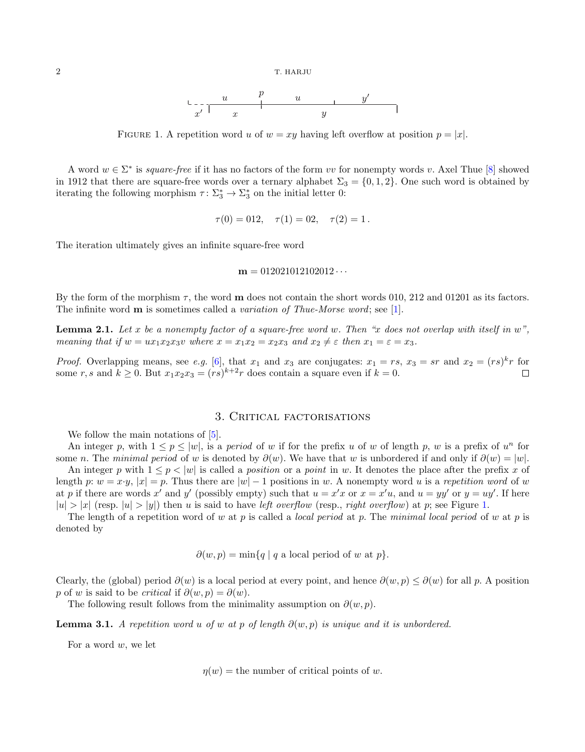<span id="page-1-0"></span>

FIGURE 1. A repetition word u of  $w = xy$  having left overflow at position  $p = |x|$ .

A word  $w \in \Sigma^*$  is square-free if it has no factors of the form vv for nonempty words v. Axel Thue [\[8\]](#page-7-4) showed in 1912 that there are square-free words over a ternary alphabet  $\Sigma_3 = \{0, 1, 2\}$ . One such word is obtained by iterating the following morphism  $\tau \colon \Sigma_3^* \to \Sigma_3^*$  on the initial letter 0:

$$
\tau(0) = 012, \quad \tau(1) = 02, \quad \tau(2) = 1.
$$

The iteration ultimately gives an infinite square-free word

$$
m = 012021012102012\cdots
$$

By the form of the morphism  $\tau$ , the word **m** does not contain the short words 010, 212 and 01201 as its factors. The infinite word **m** is sometimes called a *variation of Thue-Morse word*; see [\[1\]](#page-7-5).

**Lemma 2.1.** Let x be a nonempty factor of a square-free word w. Then "x does not overlap with itself in  $w$ ", meaning that if  $w = ux_1x_2x_3v$  where  $x = x_1x_2 = x_2x_3$  and  $x_2 \neq \varepsilon$  then  $x_1 = \varepsilon = x_3$ .

*Proof.* Overlapping means, see e.g. [\[6\]](#page-7-3), that  $x_1$  and  $x_3$  are conjugates:  $x_1 = rs$ ,  $x_3 = sr$  and  $x_2 = (rs)^k r$  for some r, s and  $k \geq 0$ . But  $x_1x_2x_3 = (rs)^{k+2}r$  does contain a square even if  $k = 0$ .

## 3. Critical factorisations

We follow the main notations of  $[5]$ .

An integer p, with  $1 \le p \le |w|$ , is a period of w if for the prefix u of w of length p, w is a prefix of  $u<sup>n</sup>$  for some n. The minimal period of w is denoted by  $\partial(w)$ . We have that w is unbordered if and only if  $\partial(w) = |w|$ . An integer p with  $1 \leq p \leq |w|$  is called a position or a point in w. It denotes the place after the prefix x of length p:  $w = x \cdot y$ ,  $|x| = p$ . Thus there are  $|w| - 1$  positions in w. A nonempty word u is a repetition word of w

at p if there are words x' and y' (possibly empty) such that  $u = x'x$  or  $x = x'u$ , and  $u = yy'$  or  $y = uy'$ . If here  $|u| > |x|$  (resp.  $|u| > |y|$ ) then u is said to have left overflow (resp., right overflow) at p; see Figure [1.](#page-1-0)

The length of a repetition word of w at p is called a *local period* at p. The minimal local period of w at p is denoted by

 $\partial(w, p) = \min\{q \mid q \text{ a local period of } w \text{ at } p\}.$ 

Clearly, the (global) period  $\partial(w)$  is a local period at every point, and hence  $\partial(w, p) \leq \partial(w)$  for all p. A position p of w is said to be *critical* if  $\partial(w, p) = \partial(w)$ .

The following result follows from the minimality assumption on  $\partial(w, p)$ .

**Lemma 3.1.** A repetition word u of w at p of length  $\partial(w, p)$  is unique and it is unbordered.

For a word  $w$ , we let

 $\eta(w)$  = the number of critical points of w.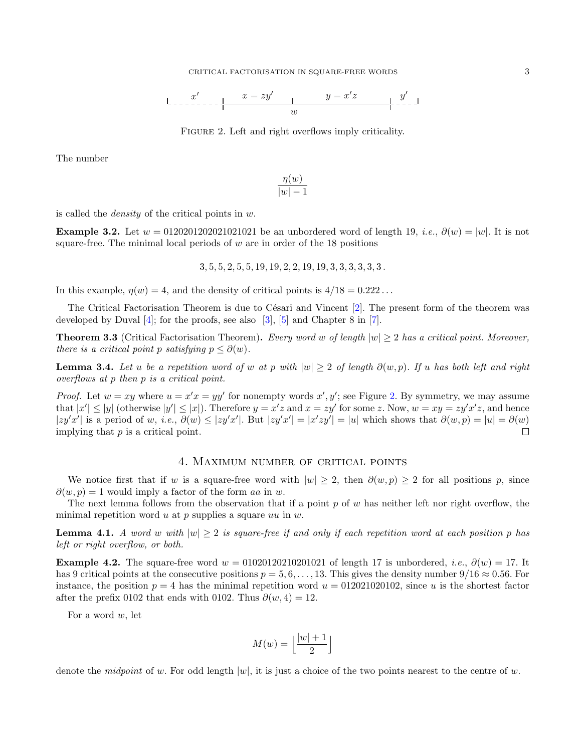$$
\downarrow \qquad \qquad x' \qquad \qquad x = zy' \qquad \qquad y = x'z \qquad \qquad y' \qquad \downarrow
$$

<span id="page-2-0"></span>FIGURE 2. Left and right overflows imply criticality.

The number

$$
\frac{\eta(w)}{|w|-1}
$$

is called the density of the critical points in w.

Example 3.2. Let  $w = 0120201202021021021$  be an unbordered word of length 19, *i.e.*,  $\partial(w) = |w|$ . It is not square-free. The minimal local periods of  $w$  are in order of the 18 positions

$$
3, 5, 5, 2, 5, 5, 19, 19, 2, 2, 19, 19, 3, 3, 3, 3, 3, 3.
$$

In this example,  $\eta(w) = 4$ , and the density of critical points is  $4/18 = 0.222...$ 

The Critical Factorisation Theorem is due to Césari and Vincent  $[2]$ . The present form of the theorem was developed by Duval  $[4]$ ; for the proofs, see also  $[3]$ ,  $[5]$  and Chapter 8 in [\[7\]](#page-7-7).

**Theorem 3.3** (Critical Factorisation Theorem). Every word w of length  $|w| > 2$  has a critical point. Moreover, there is a critical point p satisfying  $p \leq \partial(w)$ .

<span id="page-2-2"></span>**Lemma 3.4.** Let u be a repetition word of w at p with  $|w| \geq 2$  of length  $\partial(w, p)$ . If u has both left and right overflows at p then p is a critical point.

*Proof.* Let  $w = xy$  where  $u = x'x = yy'$  for nonempty words  $x', y'$ ; see Figure [2.](#page-2-0) By symmetry, we may assume that  $|x'| \le |y|$  (otherwise  $|y'| \le |x|$ ). Therefore  $y = x'z$  and  $x = zy'$  for some z. Now,  $w = xy = zy'x'z$ , and hence  $|zy'x'|$  is a period of w, i.e.,  $\partial(w) \leq |zy'x'|$ . But  $|zy'x'| = |x'zy'| = |u|$  which shows that  $\partial(w, p) = |u| = \partial(w)$ implying that  $p$  is a critical point.  $\Box$ 

## 4. Maximum number of critical points

We notice first that if w is a square-free word with  $|w| \geq 2$ , then  $\partial(w, p) \geq 2$  for all positions p, since  $\partial(w, p) = 1$  would imply a factor of the form aa in w.

The next lemma follows from the observation that if a point  $p$  of w has neither left nor right overflow, the minimal repetition word  $u$  at  $p$  supplies a square  $uu$  in  $w$ .

<span id="page-2-1"></span>**Lemma 4.1.** A word w with  $|w| \geq 2$  is square-free if and only if each repetition word at each position p has left or right overflow, or both.

Example 4.2. The square-free word  $w = 01020120210201021$  of length 17 is unbordered, *i.e.*,  $\partial(w) = 17$ . It has 9 critical points at the consecutive positions  $p = 5, 6, \ldots, 13$ . This gives the density number  $9/16 \approx 0.56$ . For instance, the position  $p = 4$  has the minimal repetition word  $u = 012021020102$ , since u is the shortest factor after the prefix 0102 that ends with 0102. Thus  $\partial(w, 4) = 12$ .

For a word  $w$ , let

$$
M(w) = \left\lfloor \frac{|w|+1}{2} \right\rfloor
$$

denote the *midpoint* of w. For odd length  $|w|$ , it is just a choice of the two points nearest to the centre of w.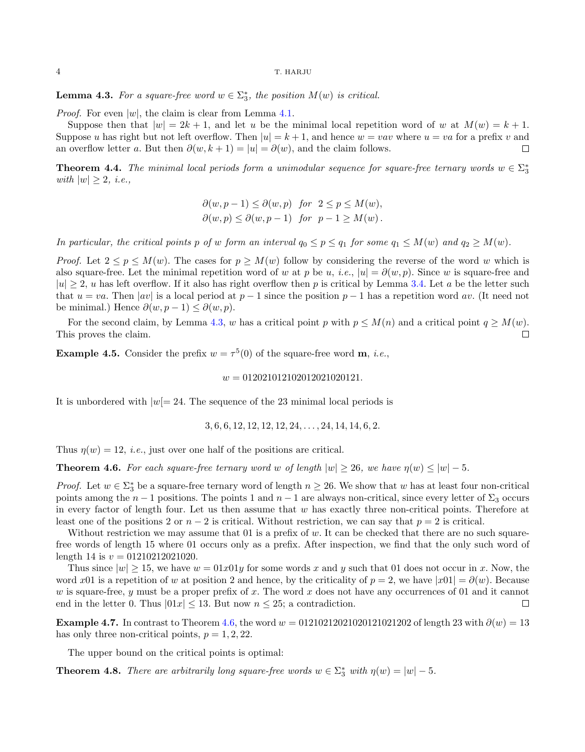#### 4 T. HARJU

<span id="page-3-0"></span>**Lemma 4.3.** For a square-free word  $w \in \Sigma_3^*$ , the position  $M(w)$  is critical.

*Proof.* For even  $|w|$ , the claim is clear from Lemma [4.1.](#page-2-1)

Suppose then that  $|w| = 2k + 1$ , and let u be the minimal local repetition word of w at  $M(w) = k + 1$ . Suppose u has right but not left overflow. Then  $|u| = k + 1$ , and hence  $w = vav$  where  $u = va$  for a prefix v and an overflow letter a. But then  $\partial(w, k+1) = |u| = \partial(w)$ , and the claim follows.  $\Box$ 

<span id="page-3-2"></span>**Theorem 4.4.** The minimal local periods form a unimodular sequence for square-free ternary words  $w \in \sum_{3}^{\infty}$ with  $|w| \geq 2$ , *i.e.*,

$$
\partial(w, p-1) \leq \partial(w, p) \text{ for } 2 \leq p \leq M(w),
$$
  

$$
\partial(w, p) \leq \partial(w, p-1) \text{ for } p-1 \geq M(w).
$$

In particular, the critical points p of w form an interval  $q_0 \leq p \leq q_1$  for some  $q_1 \leq M(w)$  and  $q_2 \geq M(w)$ .

*Proof.* Let  $2 \le p \le M(w)$ . The cases for  $p \ge M(w)$  follow by considering the reverse of the word w which is also square-free. Let the minimal repetition word of w at p be u, i.e.,  $|u| = \partial(w, p)$ . Since w is square-free and  $|u| \geq 2$ , u has left overflow. If it also has right overflow then p is critical by Lemma [3.4.](#page-2-2) Let a be the letter such that  $u = va$ . Then |av| is a local period at  $p - 1$  since the position  $p - 1$  has a repetition word av. (It need not be minimal.) Hence  $\partial(w, p-1) \leq \partial(w, p)$ .

For the second claim, by Lemma [4.3,](#page-3-0) w has a critical point p with  $p \leq M(n)$  and a critical point  $q \geq M(w)$ . This proves the claim.  $\Box$ 

**Example 4.5.** Consider the prefix  $w = \tau^5(0)$  of the square-free word **m**, *i.e.*,

#### $w = 012021012102012021020121.$

It is unbordered with  $|w|=24$ . The sequence of the 23 minimal local periods is

$$
3, 6, 6, 12, 12, 12, 12, 24, \ldots, 24, 14, 14, 6, 2.
$$

Thus  $\eta(w) = 12$ , *i.e.*, just over one half of the positions are critical.

<span id="page-3-1"></span>**Theorem 4.6.** For each square-free ternary word w of length  $|w| \ge 26$ , we have  $\eta(w) \le |w| - 5$ .

*Proof.* Let  $w \in \Sigma_3^*$  be a square-free ternary word of length  $n \geq 26$ . We show that w has at least four non-critical points among the  $n-1$  positions. The points 1 and  $n-1$  are always non-critical, since every letter of  $\Sigma_3$  occurs in every factor of length four. Let us then assume that  $w$  has exactly three non-critical points. Therefore at least one of the positions 2 or  $n-2$  is critical. Without restriction, we can say that  $p=2$  is critical.

Without restriction we may assume that  $01$  is a prefix of w. It can be checked that there are no such squarefree words of length 15 where 01 occurs only as a prefix. After inspection, we find that the only such word of length 14 is  $v = 01210212021020$ .

Thus since  $|w| > 15$ , we have  $w = 01x01y$  for some words x and y such that 01 does not occur in x. Now, the word x01 is a repetition of w at position 2 and hence, by the criticality of  $p = 2$ , we have  $|x01| = \partial(w)$ . Because w is square-free, y must be a proper prefix of x. The word x does not have any occurrences of 01 and it cannot end in the letter 0. Thus  $|01x| \le 13$ . But now  $n \le 25$ ; a contradiction.  $\Box$ 

Example 4.7. In contrast to Theorem [4.6,](#page-3-1) the word  $w = 01210212021020121021202$  of length 23 with  $\partial(w) = 13$ has only three non-critical points,  $p = 1, 2, 22$ .

The upper bound on the critical points is optimal:

**Theorem 4.8.** There are arbitrarily long square-free words  $w \in \Sigma_3^*$  with  $\eta(w) = |w| - 5$ .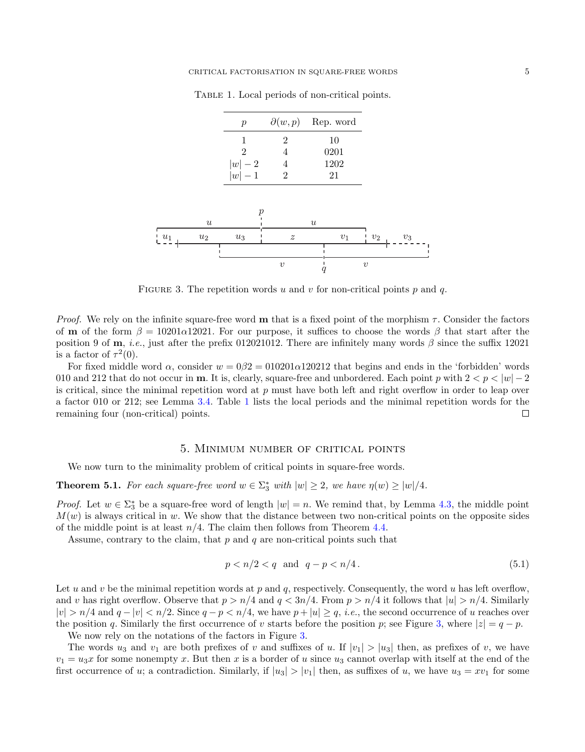Table 1. Local periods of non-critical points.

<span id="page-4-0"></span>

| $\boldsymbol{p}$ |   | $\partial(w,p)$ Rep. word |
|------------------|---|---------------------------|
|                  | 2 | 10                        |
| 2                |   | 0201                      |
| $ w -2$          | 4 | 1202                      |
| $ w -1$          | 2 | 21                        |



<span id="page-4-1"></span>FIGURE 3. The repetition words u and v for non-critical points p and q.

*Proof.* We rely on the infinite square-free word **m** that is a fixed point of the morphism  $\tau$ . Consider the factors of **m** of the form  $\beta = 10201\alpha12021$ . For our purpose, it suffices to choose the words  $\beta$  that start after the position 9 of m, *i.e.*, just after the prefix 012021012. There are infinitely many words  $\beta$  since the suffix 12021 is a factor of  $\tau^2(0)$ .

For fixed middle word  $\alpha$ , consider  $w = 0.02 = 0.0201 \alpha 120212$  that begins and ends in the 'forbidden' words 010 and 212 that do not occur in **m**. It is, clearly, square-free and unbordered. Each point p with  $2 < p < |w| - 2$ is critical, since the minimal repetition word at  $p$  must have both left and right overflow in order to leap over a factor 010 or 212; see Lemma [3.4.](#page-2-2) Table [1](#page-4-0) lists the local periods and the minimal repetition words for the remaining four (non-critical) points.  $\Box$ 

#### 5. Minimum number of critical points

We now turn to the minimality problem of critical points in square-free words.

**Theorem 5.1.** For each square-free word  $w \in \Sigma_3^*$  with  $|w| \geq 2$ , we have  $\eta(w) \geq |w|/4$ .

*Proof.* Let  $w \in \Sigma_3^*$  be a square-free word of length  $|w| = n$ . We remind that, by Lemma [4.3,](#page-3-0) the middle point  $M(w)$  is always critical in w. We show that the distance between two non-critical points on the opposite sides of the middle point is at least  $n/4$ . The claim then follows from Theorem [4.4.](#page-3-2)

Assume, contrary to the claim, that  $p$  and  $q$  are non-critical points such that

$$
p < n/2 < q \quad \text{and} \quad q - p < n/4. \tag{5.1}
$$

Let u and v be the minimal repetition words at p and q, respectively. Consequently, the word u has left overflow, and v has right overflow. Observe that  $p > n/4$  and  $q < 3n/4$ . From  $p > n/4$  it follows that  $|u| > n/4$ . Similarly  $|v| > n/4$  and  $q - |v| < n/2$ . Since  $q - p < n/4$ , we have  $p + |u| \ge q$ , *i.e.*, the second occurrence of u reaches over the position q. Similarly the first occurrence of v starts before the position p; see Figure [3,](#page-4-1) where  $|z| = q - p$ .

We now rely on the notations of the factors in Figure [3.](#page-4-1)

The words  $u_3$  and  $v_1$  are both prefixes of v and suffixes of u. If  $|v_1| > |u_3|$  then, as prefixes of v, we have  $v_1 = u_3x$  for some nonempty x. But then x is a border of u since  $u_3$  cannot overlap with itself at the end of the first occurrence of u; a contradiction. Similarly, if  $|u_3| > |v_1|$  then, as suffixes of u, we have  $u_3 = xv_1$  for some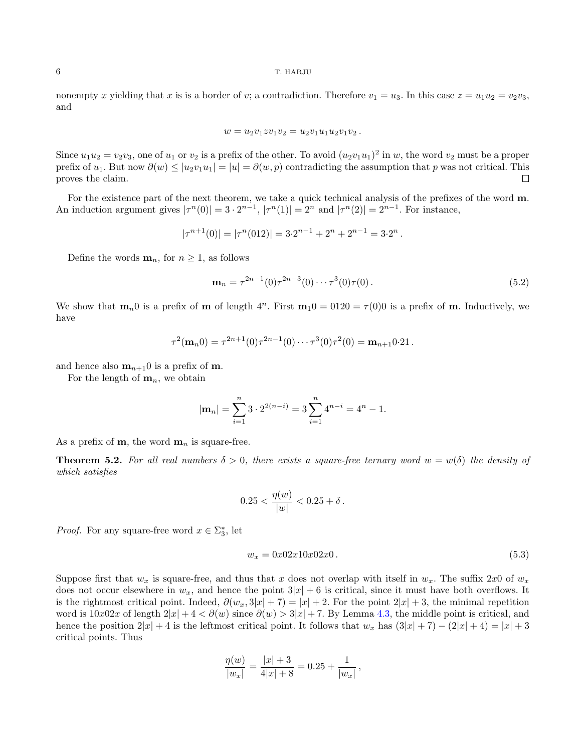### 6 T. HARJU

nonempty x yielding that x is is a border of v; a contradiction. Therefore  $v_1 = u_3$ . In this case  $z = u_1u_2 = v_2v_3$ , and

$$
w = u_2v_1zv_1v_2 = u_2v_1u_1u_2v_1v_2.
$$

Since  $u_1u_2 = v_2v_3$ , one of  $u_1$  or  $v_2$  is a prefix of the other. To avoid  $(u_2v_1u_1)^2$  in w, the word  $v_2$  must be a proper prefix of  $u_1$ . But now  $\partial(w) \le |u_2v_1u_1| = |u| = \partial(w, p)$  contradicting the assumption that p was not critical. This proves the claim.  $\Box$ 

For the existence part of the next theorem, we take a quick technical analysis of the prefixes of the word m. An induction argument gives  $|\tau^n(0)| = 3 \cdot 2^{n-1}$ ,  $|\tau^n(1)| = 2^n$  and  $|\tau^n(2)| = 2^{n-1}$ . For instance,

$$
|\tau^{n+1}(0)| = |\tau^n(012)| = 3 \cdot 2^{n-1} + 2^n + 2^{n-1} = 3 \cdot 2^n.
$$

Define the words  $\mathbf{m}_n$ , for  $n \geq 1$ , as follows

<span id="page-5-0"></span>
$$
\mathbf{m}_n = \tau^{2n-1}(0)\tau^{2n-3}(0)\cdots\tau^3(0)\tau(0). \tag{5.2}
$$

We show that  $\mathbf{m}_n$  is a prefix of **m** of length  $4^n$ . First  $\mathbf{m}_10 = 0120 = \tau(0)0$  is a prefix of **m**. Inductively, we have

$$
\tau^2(\mathbf{m}_n 0) = \tau^{2n+1}(0)\tau^{2n-1}(0)\cdots \tau^3(0)\tau^2(0) = \mathbf{m}_{n+1} 0.21.
$$

and hence also  $m_{n+1}$ 0 is a prefix of m.

For the length of  $\mathbf{m}_n$ , we obtain

$$
|\mathbf{m}_n| = \sum_{i=1}^n 3 \cdot 2^{2(n-i)} = 3 \sum_{i=1}^n 4^{n-i} = 4^n - 1.
$$

As a prefix of **m**, the word  $\mathbf{m}_n$  is square-free.

**Theorem 5.2.** For all real numbers  $\delta > 0$ , there exists a square-free ternary word  $w = w(\delta)$  the density of which satisfies

$$
0.25 < \frac{\eta(w)}{|w|} < 0.25 + \delta \, .
$$

*Proof.* For any square-free word  $x \in \Sigma_3^*$ , let

$$
w_x = 0x02x10x02x0.
$$
\n(5.3)

Suppose first that  $w_x$  is square-free, and thus that x does not overlap with itself in  $w_x$ . The suffix 2x0 of  $w_x$ does not occur elsewhere in  $w_x$ , and hence the point  $3|x| + 6$  is critical, since it must have both overflows. It is the rightmost critical point. Indeed,  $\partial(w_x, 3|x| + 7) = |x| + 2$ . For the point  $2|x| + 3$ , the minimal repetition word is  $10x02x$  of length  $2|x| + 4 < \partial(w)$  since  $\partial(w) > 3|x| + 7$ . By Lemma [4.3,](#page-3-0) the middle point is critical, and hence the position  $2|x| + 4$  is the leftmost critical point. It follows that  $w_x$  has  $(3|x| + 7) - (2|x| + 4) = |x| + 3$ critical points. Thus

$$
\frac{\eta(w)}{|w_x|} = \frac{|x|+3}{4|x|+8} = 0.25 + \frac{1}{|w_x|},
$$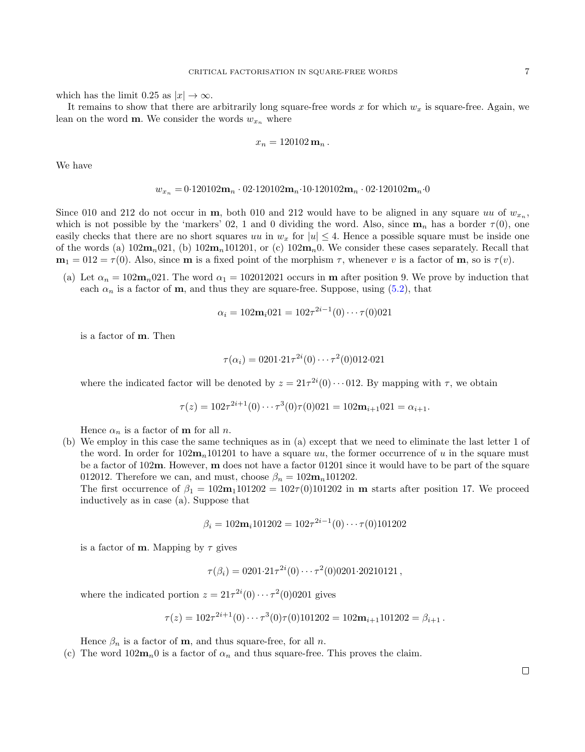which has the limit 0.25 as  $|x| \to \infty$ .

It remains to show that there are arbitrarily long square-free words x for which  $w_x$  is square-free. Again, we lean on the word **m**. We consider the words  $w_{x_n}$  where

$$
x_n=120102\,\mathbf{m}_n\,.
$$

We have

$$
w_{x_n} = 0.120102\mathbf{m}_n \cdot 02.120102\mathbf{m}_n \cdot 10.120102\mathbf{m}_n \cdot 02.120102\mathbf{m}_n \cdot 0
$$

Since 010 and 212 do not occur in  $m$ , both 010 and 212 would have to be aligned in any square uu of  $w_{x_n}$ , which is not possible by the 'markers' 02, 1 and 0 dividing the word. Also, since  $\mathbf{m}_n$  has a border  $\tau(0)$ , one easily checks that there are no short squares uu in  $w_x$  for  $|u| \leq 4$ . Hence a possible square must be inside one of the words (a)  $102m_n021$ , (b)  $102m_n101201$ , or (c)  $102m_n0$ . We consider these cases separately. Recall that  $m_1 = 012 = \tau(0)$ . Also, since **m** is a fixed point of the morphism  $\tau$ , whenever v is a factor of **m**, so is  $\tau(v)$ .

(a) Let  $\alpha_n = 102m_n021$ . The word  $\alpha_1 = 102012021$  occurs in **m** after position 9. We prove by induction that each  $\alpha_n$  is a factor of **m**, and thus they are square-free. Suppose, using [\(5.2\)](#page-5-0), that

$$
\alpha_i = 102\mathbf{m}_i 021 = 102\tau^{2i-1}(0)\cdots\tau(0)021
$$

is a factor of m. Then

$$
\tau(\alpha_i) = 0201 \cdot 21 \tau^{2i}(0) \cdots \tau^2(0)012 \cdot 021
$$

where the indicated factor will be denoted by  $z = 21\tau^{2i}(0) \cdots 012$ . By mapping with  $\tau$ , we obtain

$$
\tau(z) = 102\tau^{2i+1}(0)\cdots\tau^3(0)\tau(0)021 = 102\mathbf{m}_{i+1}021 = \alpha_{i+1}.
$$

Hence  $\alpha_n$  is a factor of **m** for all *n*.

(b) We employ in this case the same techniques as in (a) except that we need to eliminate the last letter 1 of the word. In order for  $102m_n101201$  to have a square uu, the former occurrence of u in the square must be a factor of 102m. However, m does not have a factor 01201 since it would have to be part of the square 012012. Therefore we can, and must, choose  $\beta_n = 102 \mathbf{m}_n 101202$ .

The first occurrence of  $\beta_1 = 102m_1101202 = 102\tau(0)101202$  in m starts after position 17. We proceed inductively as in case (a). Suppose that

$$
\beta_i = 102\mathbf{m}_i 101202 = 102\tau^{2i-1}(0)\cdots\tau(0)101202
$$

is a factor of **m**. Mapping by  $\tau$  gives

 $\tau(\beta_i) = 0201 \cdot 21 \tau^{2i}(0) \cdots \tau^2(0)0201 \cdot 20210121$ ,

where the indicated portion  $z = 21\tau^{2i}(0) \cdots \tau^{2}(0)$  gives

$$
\tau(z) = 102\tau^{2i+1}(0)\cdots\tau^3(0)\tau(0)101202 = 102\mathbf{m}_{i+1}101202 = \beta_{i+1}.
$$

Hence  $\beta_n$  is a factor of **m**, and thus square-free, for all *n*.

(c) The word  $102m_n$ <sup>0</sup> is a factor of  $\alpha_n$  and thus square-free. This proves the claim.